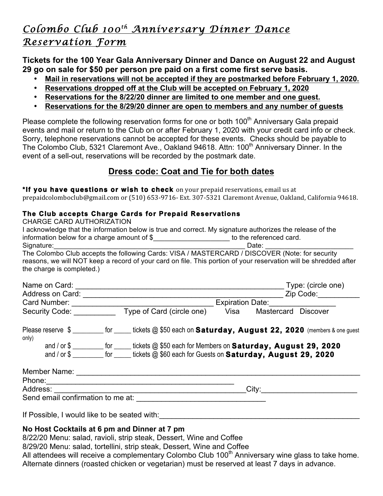# *Colombo Club 100th Anniversary Dinner Dance Reservation Form*

**Tickets for the 100 Year Gala Anniversary Dinner and Dance on August 22 and August 29 go on sale for \$50 per person pre paid on a first come first serve basis.** 

- **Mail in reservations will not be accepted if they are postmarked before February 1, 2020.**
- **Reservations dropped off at the Club will be accepted on February 1, 2020**
- **Reservations for the 8/22/20 dinner are limited to one member and one guest.**
- **Reservations for the 8/29/20 dinner are open to members and any number of guests**

Please complete the following reservation forms for one or both 100<sup>th</sup> Anniversary Gala prepaid events and mail or return to the Club on or after February 1, 2020 with your credit card info or check. Sorry, telephone reservations cannot be accepted for these events. Checks should be payable to The Colombo Club, 5321 Claremont Ave., Oakland 94618. Attn: 100<sup>th</sup> Anniversary Dinner. In the event of a sell-out, reservations will be recorded by the postmark date.

# **Dress code: Coat and Tie for both dates**

\*If you have questions or wish to check on your prepaid reservations, email us at prepaidcolomboclub@gmail.com or (510) 653-9716- Ext. 307-5321 Claremont Avenue, Oakland, California 94618.

#### **The Club accepts Charge Cards for Prepaid Reservations**

| <b>CHARGE CARD AUTHORIZATION</b>                                                                             |                                    |                                                                                                                                                                                                                                |      |                     |                    |  |
|--------------------------------------------------------------------------------------------------------------|------------------------------------|--------------------------------------------------------------------------------------------------------------------------------------------------------------------------------------------------------------------------------|------|---------------------|--------------------|--|
|                                                                                                              |                                    | I acknowledge that the information below is true and correct. My signature authorizes the release of the                                                                                                                       |      |                     |                    |  |
|                                                                                                              |                                    | information below for a charge amount of \$________________________ to the referenced card.                                                                                                                                    |      |                     |                    |  |
| Signature:<br>The Colombo Club accepts the following Cards: VISA / MASTERCARD / DISCOVER (Note: for security |                                    |                                                                                                                                                                                                                                |      |                     |                    |  |
|                                                                                                              |                                    |                                                                                                                                                                                                                                |      |                     |                    |  |
|                                                                                                              |                                    | reasons, we will NOT keep a record of your card on file. This portion of your reservation will be shredded after                                                                                                               |      |                     |                    |  |
| the charge is completed.)                                                                                    |                                    |                                                                                                                                                                                                                                |      |                     |                    |  |
| Name on Card:                                                                                                |                                    |                                                                                                                                                                                                                                |      |                     | Type: (circle one) |  |
|                                                                                                              |                                    |                                                                                                                                                                                                                                |      |                     |                    |  |
|                                                                                                              | Expiration Date: <b>Expiration</b> |                                                                                                                                                                                                                                |      |                     |                    |  |
|                                                                                                              |                                    | Security Code: Type of Card (circle one)                                                                                                                                                                                       | Visa | Mastercard Discover |                    |  |
|                                                                                                              |                                    | Please reserve $\frac{1}{2}$ for _____ tickets @ \$50 each on <b>Saturday, August 22, 2020</b> (members & one guest                                                                                                            |      |                     |                    |  |
| only)                                                                                                        |                                    | and / or \$ _________ for _____ tickets @ \$50 each for Members on Saturday, August 29, 2020                                                                                                                                   |      |                     |                    |  |
|                                                                                                              |                                    | and / or \$                                                                                                                                                                                                                    |      |                     |                    |  |
|                                                                                                              |                                    |                                                                                                                                                                                                                                |      |                     |                    |  |
|                                                                                                              |                                    | Phone: 2008 Phone: 2008 Phone: 2008 Phone: 2008 Phone: 2008 Phone: 2008 Phone: 2008 Phone: 2008 Phone: 2008 Phone: 2008 Phone: 2008 Phone: 2008 Phone: 2008 Phone: 2008 Phone: 2008 Phone: 2008 Phone: 2008 Phone: 2008 Phone: |      |                     |                    |  |
|                                                                                                              |                                    | City:                                                                                                                                                                                                                          |      |                     |                    |  |

Send email confirmation to me at:

If Possible, I would like to be seated with:

# **No Host Cocktails at 6 pm and Dinner at 7 pm**

8/22/20 Menu: salad, ravioli, strip steak, Dessert, Wine and Coffee

8/29/20 Menu: salad, tortellini, strip steak, Dessert, Wine and Coffee

All attendees will receive a complementary Colombo Club 100<sup>th</sup> Anniversary wine glass to take home. Alternate dinners (roasted chicken or vegetarian) must be reserved at least 7 days in advance.